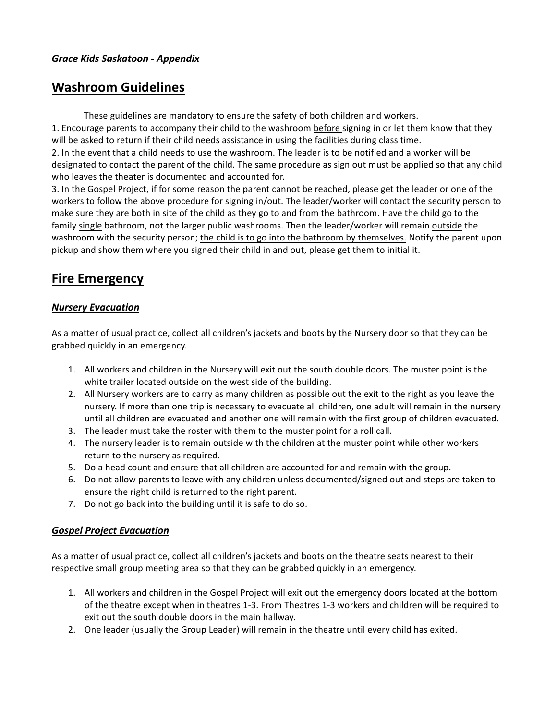# **Washroom Guidelines**

These guidelines are mandatory to ensure the safety of both children and workers.

1. Encourage parents to accompany their child to the washroom before signing in or let them know that they will be asked to return if their child needs assistance in using the facilities during class time.

2. In the event that a child needs to use the washroom. The leader is to be notified and a worker will be designated to contact the parent of the child. The same procedure as sign out must be applied so that any child who leaves the theater is documented and accounted for.

3. In the Gospel Project, if for some reason the parent cannot be reached, please get the leader or one of the workers to follow the above procedure for signing in/out. The leader/worker will contact the security person to make sure they are both in site of the child as they go to and from the bathroom. Have the child go to the family single bathroom, not the larger public washrooms. Then the leader/worker will remain outside the washroom with the security person; the child is to go into the bathroom by themselves. Notify the parent upon pickup and show them where you signed their child in and out, please get them to initial it.

# **Fire Emergency**

#### *Nursery Evacuation*

As a matter of usual practice, collect all children's jackets and boots by the Nursery door so that they can be grabbed quickly in an emergency.

- 1. All workers and children in the Nursery will exit out the south double doors. The muster point is the white trailer located outside on the west side of the building.
- 2. All Nursery workers are to carry as many children as possible out the exit to the right as you leave the nursery. If more than one trip is necessary to evacuate all children, one adult will remain in the nursery until all children are evacuated and another one will remain with the first group of children evacuated.
- 3. The leader must take the roster with them to the muster point for a roll call.
- 4. The nursery leader is to remain outside with the children at the muster point while other workers return to the nursery as required.
- 5. Do a head count and ensure that all children are accounted for and remain with the group.
- 6. Do not allow parents to leave with any children unless documented/signed out and steps are taken to ensure the right child is returned to the right parent.
- 7. Do not go back into the building until it is safe to do so.

## *Gospel Project Evacuation*

As a matter of usual practice, collect all children's jackets and boots on the theatre seats nearest to their respective small group meeting area so that they can be grabbed quickly in an emergency.

- 1. All workers and children in the Gospel Project will exit out the emergency doors located at the bottom of the theatre except when in theatres 1-3. From Theatres 1-3 workers and children will be required to exit out the south double doors in the main hallway.
- 2. One leader (usually the Group Leader) will remain in the theatre until every child has exited.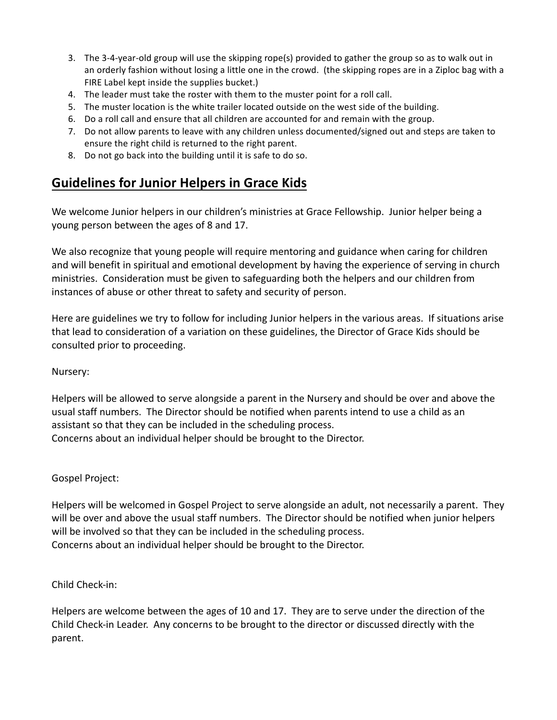- 3. The 3-4-year-old group will use the skipping rope(s) provided to gather the group so as to walk out in an orderly fashion without losing a little one in the crowd. (the skipping ropes are in a Ziploc bag with a FIRE Label kept inside the supplies bucket.)
- 4. The leader must take the roster with them to the muster point for a roll call.
- 5. The muster location is the white trailer located outside on the west side of the building.
- 6. Do a roll call and ensure that all children are accounted for and remain with the group.
- 7. Do not allow parents to leave with any children unless documented/signed out and steps are taken to ensure the right child is returned to the right parent.
- 8. Do not go back into the building until it is safe to do so.

# **Guidelines for Junior Helpers in Grace Kids**

We welcome Junior helpers in our children's ministries at Grace Fellowship. Junior helper being a young person between the ages of 8 and 17.

We also recognize that young people will require mentoring and guidance when caring for children and will benefit in spiritual and emotional development by having the experience of serving in church ministries. Consideration must be given to safeguarding both the helpers and our children from instances of abuse or other threat to safety and security of person.

Here are guidelines we try to follow for including Junior helpers in the various areas. If situations arise that lead to consideration of a variation on these guidelines, the Director of Grace Kids should be consulted prior to proceeding.

## Nursery:

Helpers will be allowed to serve alongside a parent in the Nursery and should be over and above the usual staff numbers. The Director should be notified when parents intend to use a child as an assistant so that they can be included in the scheduling process. Concerns about an individual helper should be brought to the Director.

## Gospel Project:

Helpers will be welcomed in Gospel Project to serve alongside an adult, not necessarily a parent. They will be over and above the usual staff numbers. The Director should be notified when junior helpers will be involved so that they can be included in the scheduling process. Concerns about an individual helper should be brought to the Director.

## Child Check-in:

Helpers are welcome between the ages of 10 and 17. They are to serve under the direction of the Child Check-in Leader. Any concerns to be brought to the director or discussed directly with the parent.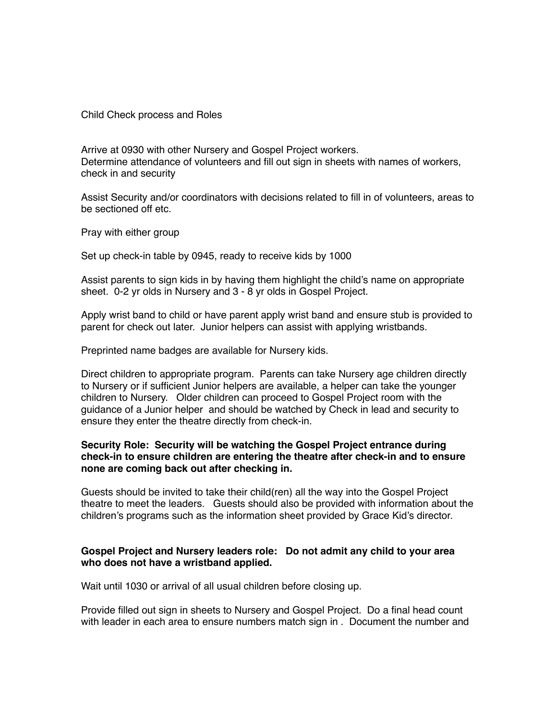Child Check process and Roles

Arrive at 0930 with other Nursery and Gospel Project workers. Determine attendance of volunteers and fill out sign in sheets with names of workers, check in and security

Assist Security and/or coordinators with decisions related to fill in of volunteers, areas to be sectioned off etc.

Pray with either group

Set up check-in table by 0945, ready to receive kids by 1000

Assist parents to sign kids in by having them highlight the child's name on appropriate sheet. 0-2 yr olds in Nursery and 3 - 8 yr olds in Gospel Project.

Apply wrist band to child or have parent apply wrist band and ensure stub is provided to parent for check out later. Junior helpers can assist with applying wristbands.

Preprinted name badges are available for Nursery kids.

Direct children to appropriate program. Parents can take Nursery age children directly to Nursery or if sufficient Junior helpers are available, a helper can take the younger children to Nursery. Older children can proceed to Gospel Project room with the guidance of a Junior helper and should be watched by Check in lead and security to ensure they enter the theatre directly from check-in.

#### **Security Role: Security will be watching the Gospel Project entrance during check-in to ensure children are entering the theatre after check-in and to ensure none are coming back out after checking in.**

Guests should be invited to take their child(ren) all the way into the Gospel Project theatre to meet the leaders. Guests should also be provided with information about the children's programs such as the information sheet provided by Grace Kid's director.

#### **Gospel Project and Nursery leaders role: Do not admit any child to your area who does not have a wristband applied.**

Wait until 1030 or arrival of all usual children before closing up.

Provide filled out sign in sheets to Nursery and Gospel Project. Do a final head count with leader in each area to ensure numbers match sign in . Document the number and